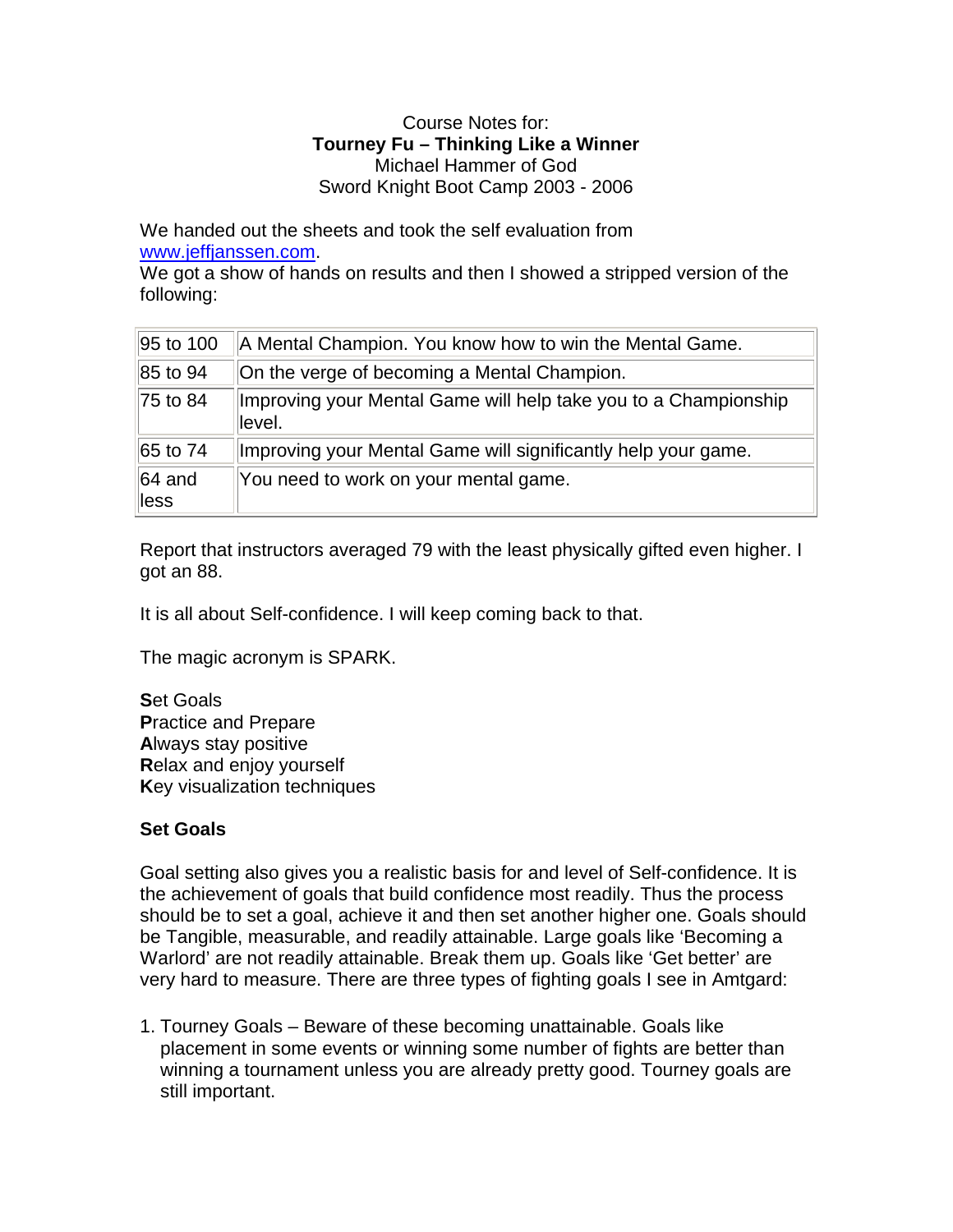#### Course Notes for: **Tourney Fu – Thinking Like a Winner** Michael Hammer of God Sword Knight Boot Camp 2003 - 2006

We handed out the sheets and took the self evaluation from www.jeffjanssen.com.

We got a show of hands on results and then I showed a stripped version of the following:

| 95 to 100                  | A Mental Champion. You know how to win the Mental Game.                    |
|----------------------------|----------------------------------------------------------------------------|
| 85 to 94                   | On the verge of becoming a Mental Champion.                                |
| 75 to 84                   | Improving your Mental Game will help take you to a Championship<br>llevel. |
| 65 to 74                   | Improving your Mental Game will significantly help your game.              |
| $ 64 \text{ and }$<br>less | You need to work on your mental game.                                      |

Report that instructors averaged 79 with the least physically gifted even higher. I got an 88.

It is all about Self-confidence. I will keep coming back to that.

The magic acronym is SPARK.

**S**et Goals **P**ractice and Prepare **A**lways stay positive **R**elax and enjoy yourself **K**ey visualization techniques

# **Set Goals**

Goal setting also gives you a realistic basis for and level of Self-confidence. It is the achievement of goals that build confidence most readily. Thus the process should be to set a goal, achieve it and then set another higher one. Goals should be Tangible, measurable, and readily attainable. Large goals like 'Becoming a Warlord' are not readily attainable. Break them up. Goals like 'Get better' are very hard to measure. There are three types of fighting goals I see in Amtgard:

1. Tourney Goals – Beware of these becoming unattainable. Goals like placement in some events or winning some number of fights are better than winning a tournament unless you are already pretty good. Tourney goals are still important.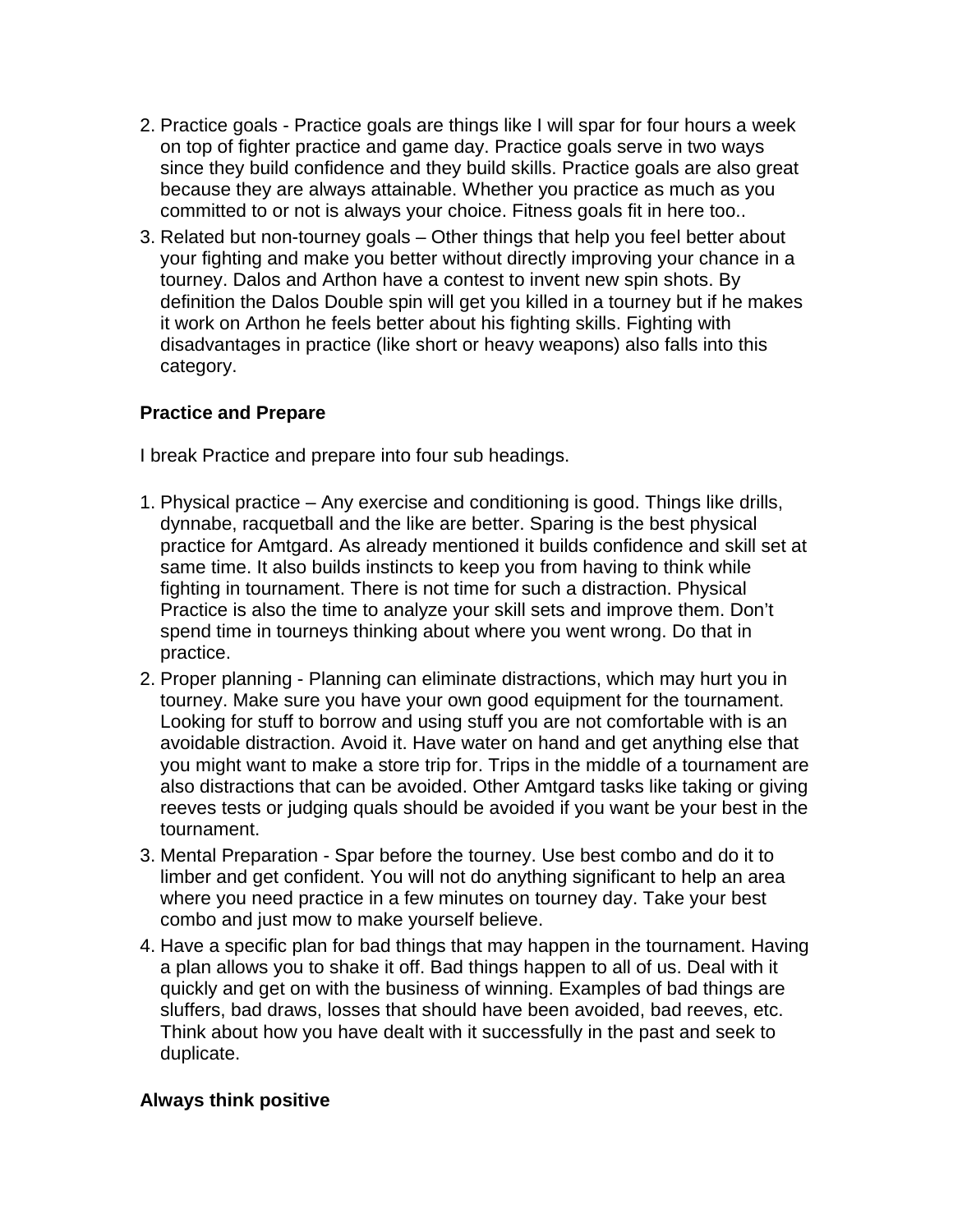- 2. Practice goals Practice goals are things like I will spar for four hours a week on top of fighter practice and game day. Practice goals serve in two ways since they build confidence and they build skills. Practice goals are also great because they are always attainable. Whether you practice as much as you committed to or not is always your choice. Fitness goals fit in here too..
- 3. Related but non-tourney goals Other things that help you feel better about your fighting and make you better without directly improving your chance in a tourney. Dalos and Arthon have a contest to invent new spin shots. By definition the Dalos Double spin will get you killed in a tourney but if he makes it work on Arthon he feels better about his fighting skills. Fighting with disadvantages in practice (like short or heavy weapons) also falls into this category.

### **Practice and Prepare**

I break Practice and prepare into four sub headings.

- 1. Physical practice Any exercise and conditioning is good. Things like drills, dynnabe, racquetball and the like are better. Sparing is the best physical practice for Amtgard. As already mentioned it builds confidence and skill set at same time. It also builds instincts to keep you from having to think while fighting in tournament. There is not time for such a distraction. Physical Practice is also the time to analyze your skill sets and improve them. Don't spend time in tourneys thinking about where you went wrong. Do that in practice.
- 2. Proper planning Planning can eliminate distractions, which may hurt you in tourney. Make sure you have your own good equipment for the tournament. Looking for stuff to borrow and using stuff you are not comfortable with is an avoidable distraction. Avoid it. Have water on hand and get anything else that you might want to make a store trip for. Trips in the middle of a tournament are also distractions that can be avoided. Other Amtgard tasks like taking or giving reeves tests or judging quals should be avoided if you want be your best in the tournament.
- 3. Mental Preparation Spar before the tourney. Use best combo and do it to limber and get confident. You will not do anything significant to help an area where you need practice in a few minutes on tourney day. Take your best combo and just mow to make yourself believe.
- 4. Have a specific plan for bad things that may happen in the tournament. Having a plan allows you to shake it off. Bad things happen to all of us. Deal with it quickly and get on with the business of winning. Examples of bad things are sluffers, bad draws, losses that should have been avoided, bad reeves, etc. Think about how you have dealt with it successfully in the past and seek to duplicate.

### **Always think positive**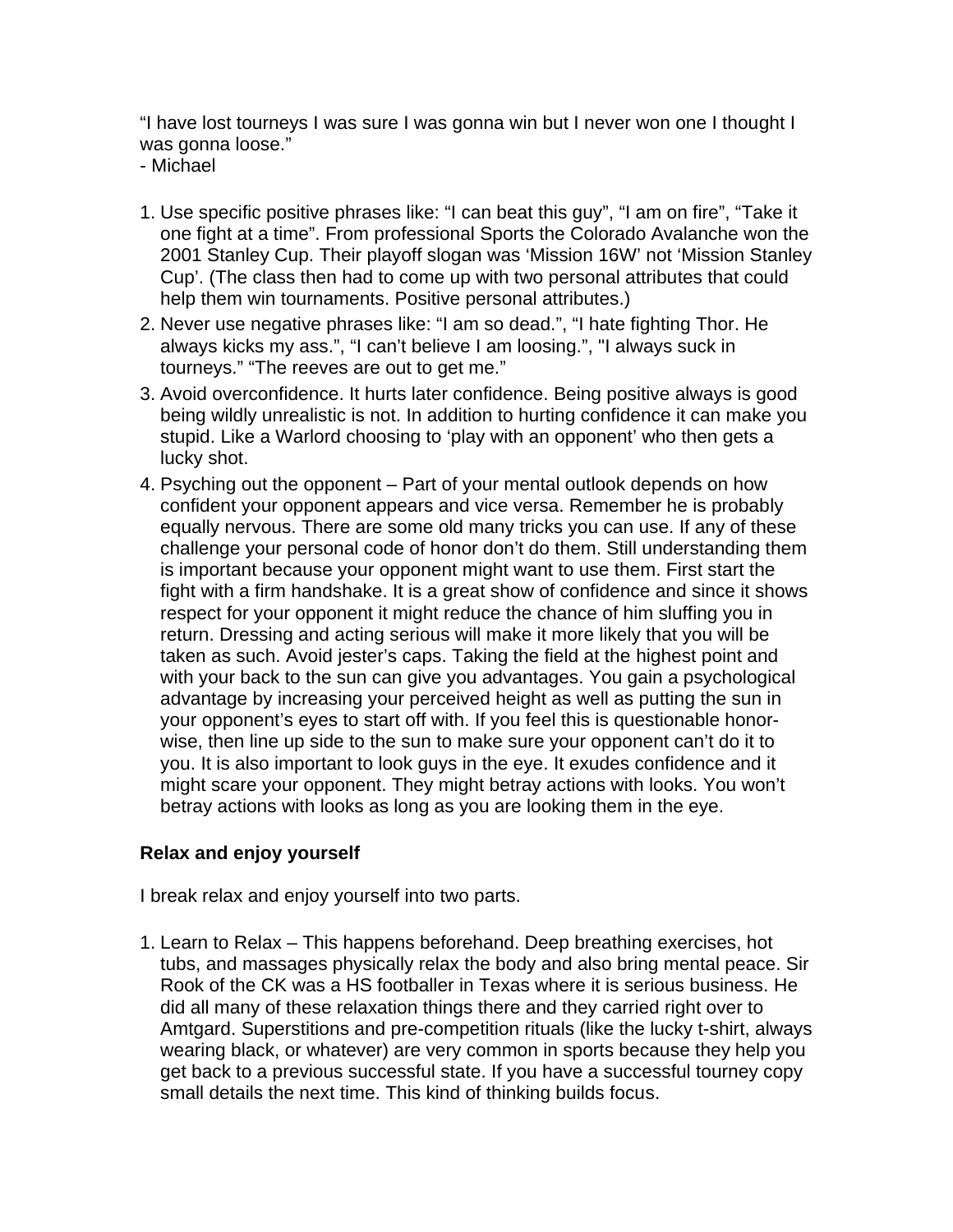"I have lost tourneys I was sure I was gonna win but I never won one I thought I was gonna loose."

- Michael

- 1. Use specific positive phrases like: "I can beat this guy", "I am on fire", "Take it one fight at a time". From professional Sports the Colorado Avalanche won the 2001 Stanley Cup. Their playoff slogan was 'Mission 16W' not 'Mission Stanley Cup'. (The class then had to come up with two personal attributes that could help them win tournaments. Positive personal attributes.)
- 2. Never use negative phrases like: "I am so dead.", "I hate fighting Thor. He always kicks my ass.", "I can't believe I am loosing.", "I always suck in tourneys." "The reeves are out to get me."
- 3. Avoid overconfidence. It hurts later confidence. Being positive always is good being wildly unrealistic is not. In addition to hurting confidence it can make you stupid. Like a Warlord choosing to 'play with an opponent' who then gets a lucky shot.
- 4. Psyching out the opponent Part of your mental outlook depends on how confident your opponent appears and vice versa. Remember he is probably equally nervous. There are some old many tricks you can use. If any of these challenge your personal code of honor don't do them. Still understanding them is important because your opponent might want to use them. First start the fight with a firm handshake. It is a great show of confidence and since it shows respect for your opponent it might reduce the chance of him sluffing you in return. Dressing and acting serious will make it more likely that you will be taken as such. Avoid jester's caps. Taking the field at the highest point and with your back to the sun can give you advantages. You gain a psychological advantage by increasing your perceived height as well as putting the sun in your opponent's eyes to start off with. If you feel this is questionable honorwise, then line up side to the sun to make sure your opponent can't do it to you. It is also important to look guys in the eye. It exudes confidence and it might scare your opponent. They might betray actions with looks. You won't betray actions with looks as long as you are looking them in the eye.

# **Relax and enjoy yourself**

I break relax and enjoy yourself into two parts.

1. Learn to Relax – This happens beforehand. Deep breathing exercises, hot tubs, and massages physically relax the body and also bring mental peace. Sir Rook of the CK was a HS footballer in Texas where it is serious business. He did all many of these relaxation things there and they carried right over to Amtgard. Superstitions and pre-competition rituals (like the lucky t-shirt, always wearing black, or whatever) are very common in sports because they help you get back to a previous successful state. If you have a successful tourney copy small details the next time. This kind of thinking builds focus.